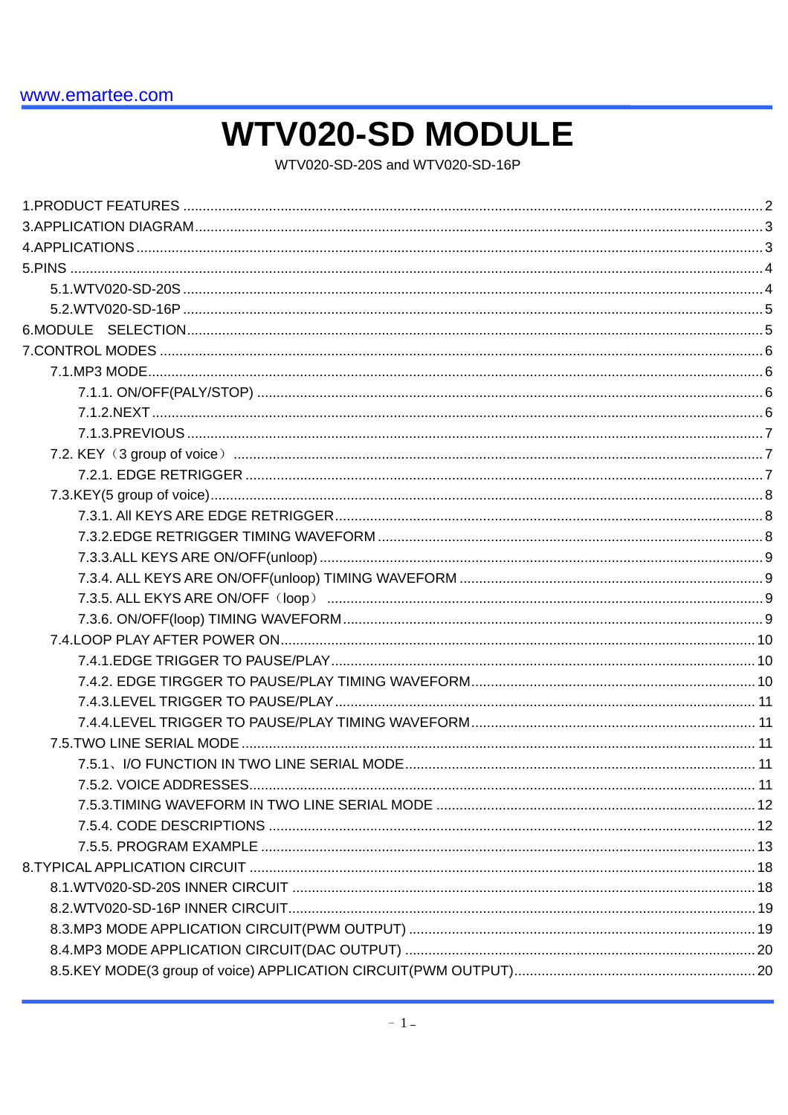# **WTV020-SD MODULE**

WTV020-SD-20S and WTV020-SD-16P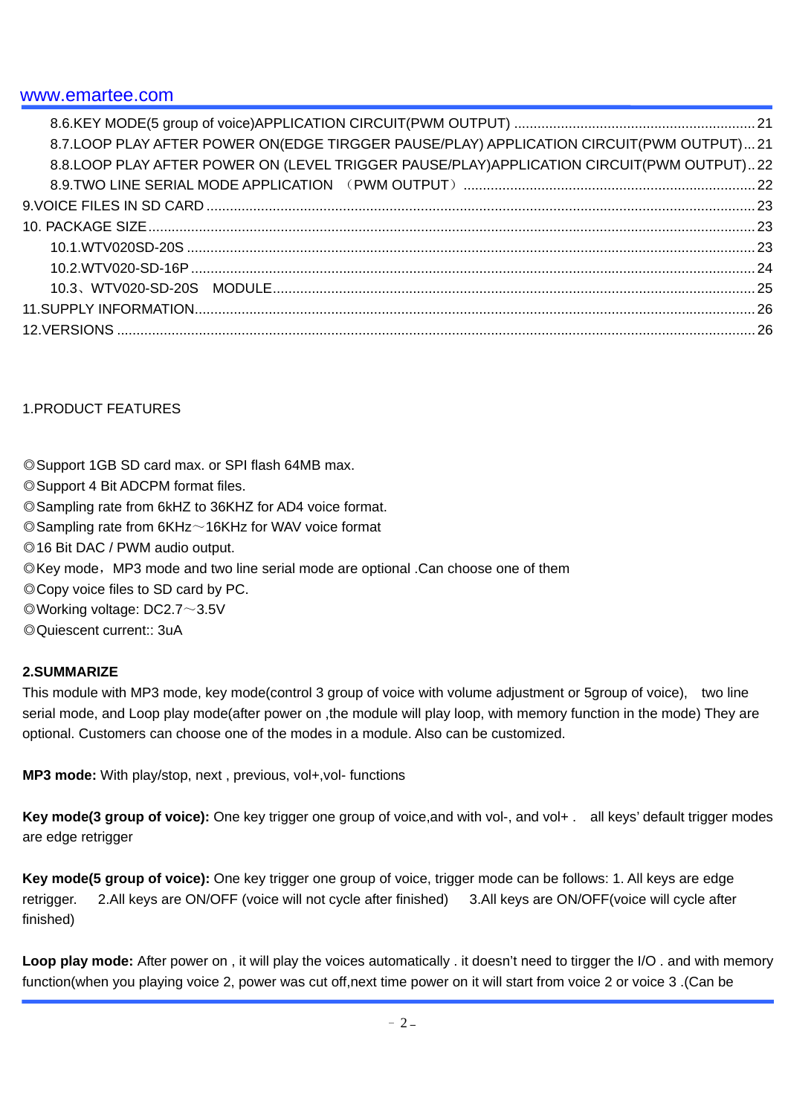| 8.7.LOOP PLAY AFTER POWER ON(EDGE TIRGGER PAUSE/PLAY) APPLICATION CIRCUIT(PWM OUTPUT)21     |  |
|---------------------------------------------------------------------------------------------|--|
| 8.8. LOOP PLAY AFTER POWER ON (LEVEL TRIGGER PAUSE/PLAY) APPLICATION CIRCUIT(PWM OUTPUT) 22 |  |
|                                                                                             |  |
|                                                                                             |  |
|                                                                                             |  |
|                                                                                             |  |
|                                                                                             |  |
|                                                                                             |  |
|                                                                                             |  |
|                                                                                             |  |

### 1.PRODUCT FEATURES

◎Support 1GB SD card max. or SPI flash 64MB max. ◎Support 4 Bit ADCPM format files. ◎Sampling rate from 6kHZ to 36KHZ for AD4 voice format.  $\oslash$  Sampling rate from 6KHz $\sim$ 16KHz for WAV voice format ◎16 Bit DAC / PWM audio output. ©Key mode, MP3 mode and two line serial mode are optional .Can choose one of them ◎Copy voice files to SD card by PC. ◎Working voltage: DC2.7~3.5V ◎Quiescent current:: 3uA

#### **2.SUMMARIZE**

This module with MP3 mode, key mode(control 3 group of voice with volume adjustment or 5group of voice), two line serial mode, and Loop play mode(after power on ,the module will play loop, with memory function in the mode) They are optional. Customers can choose one of the modes in a module. Also can be customized.

**MP3 mode:** With play/stop, next , previous, vol+,vol- functions

**Key mode(3 group of voice):** One key trigger one group of voice,and with vol-, and vol+ . all keys' default trigger modes are edge retrigger

**Key mode(5 group of voice):** One key trigger one group of voice, trigger mode can be follows: 1. All keys are edge retrigger. 2.All keys are ON/OFF (voice will not cycle after finished) 3.All keys are ON/OFF(voice will cycle after finished)

**Loop play mode:** After power on , it will play the voices automatically . it doesn't need to tirgger the I/O . and with memory function(when you playing voice 2, power was cut off,next time power on it will start from voice 2 or voice 3 .(Can be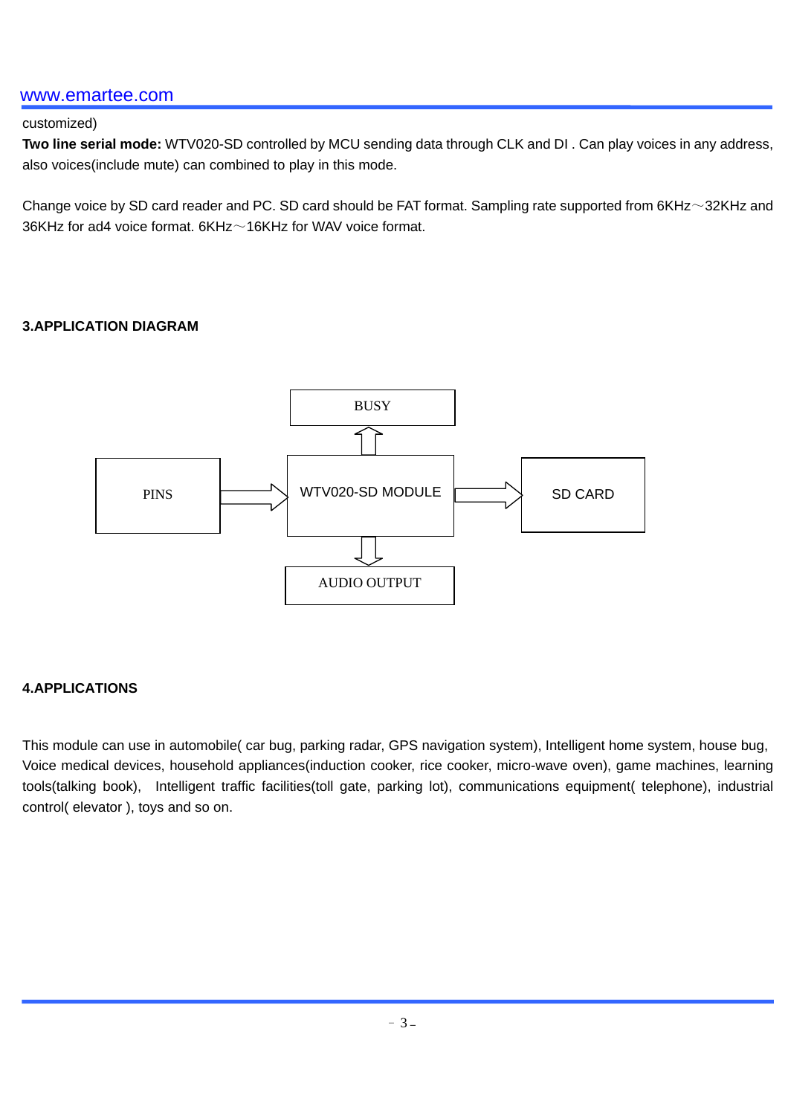#### customized)

**Two line serial mode:** WTV020-SD controlled by MCU sending data through CLK and DI . Can play voices in any address, also voices(include mute) can combined to play in this mode.

Change voice by SD card reader and PC. SD card should be FAT format. Sampling rate supported from 6KHz~32KHz and 36KHz for ad4 voice format. 6KHz~16KHz for WAV voice format.

#### **3.APPLICATION DIAGRAM**



#### **4.APPLICATIONS**

This module can use in automobile( car bug, parking radar, GPS navigation system), Intelligent home system, house bug, Voice medical devices, household appliances(induction cooker, rice cooker, micro-wave oven), game machines, learning tools(talking book), Intelligent traffic facilities(toll gate, parking lot), communications equipment( telephone), industrial control( elevator ), toys and so on.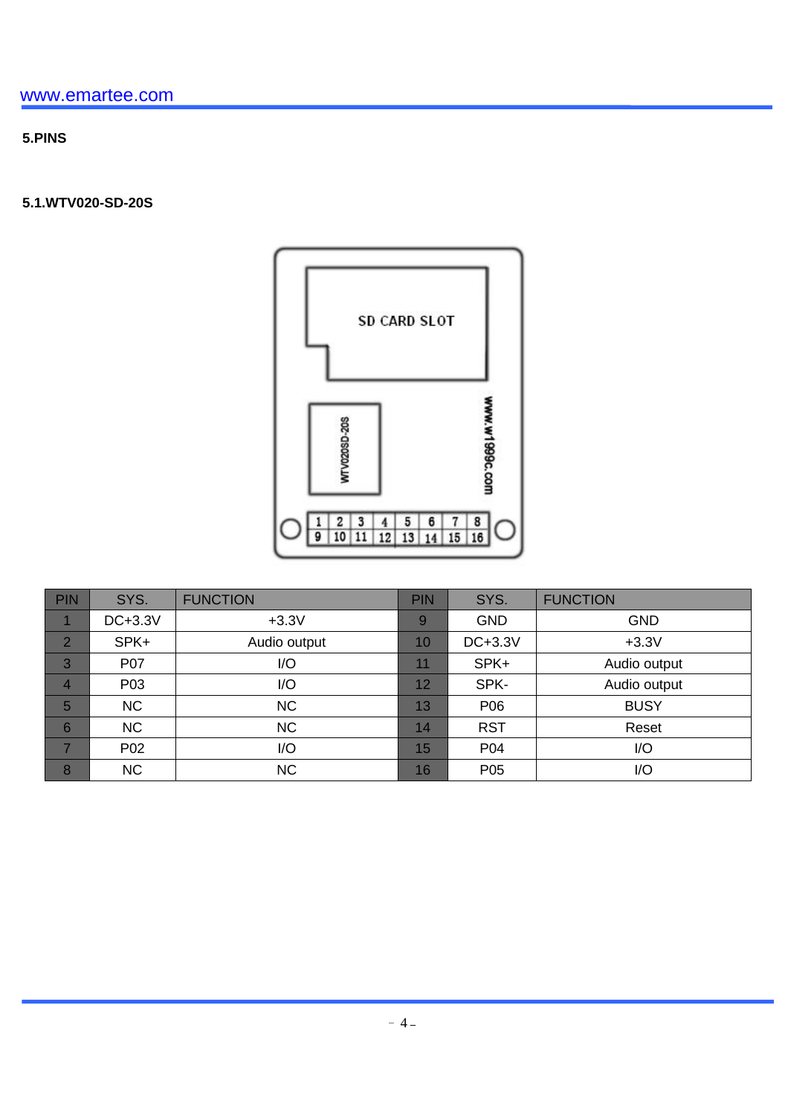# **5.PINS**

### **5.1.WTV020-SD-20S**



| <b>PIN</b>     | SYS.             | <b>FUNCTION</b> | <b>PIN</b> | SYS.            | <b>FUNCTION</b> |
|----------------|------------------|-----------------|------------|-----------------|-----------------|
|                | DC+3.3V          | $+3.3V$         | 9          | <b>GND</b>      | <b>GND</b>      |
| $\overline{2}$ | SPK+             | Audio output    | 10         | DC+3.3V         | $+3.3V$         |
| 3              | <b>P07</b>       | I/O             | 11         | SPK+            | Audio output    |
| 4              | P <sub>0</sub> 3 | I/O             | 12         | SPK-            | Audio output    |
| 5              | <b>NC</b>        | <b>NC</b>       | 13         | P06             | <b>BUSY</b>     |
| 6              | <b>NC</b>        | <b>NC</b>       | 14         | <b>RST</b>      | Reset           |
| 7              | P02              | I/O             | 15         | P04             | I/O             |
| 8              | <b>NC</b>        | <b>NC</b>       | 16         | P <sub>05</sub> | I/O             |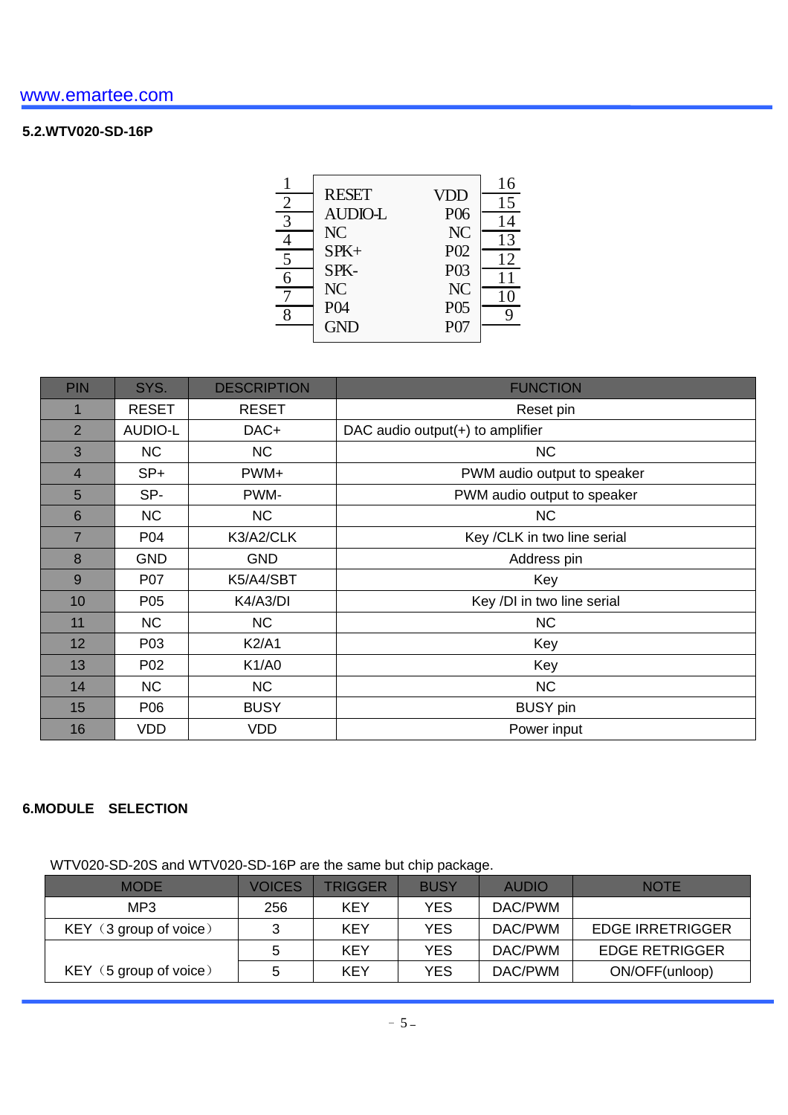### **5.2.WTV020-SD-16P**

| <b>VDD</b><br>P <sub>06</sub><br>NC<br>P <sub>02</sub><br>P03<br>NC<br>P <sub>05</sub><br>P07 | 16<br>15<br>14<br>13<br>12<br>11<br>10 |
|-----------------------------------------------------------------------------------------------|----------------------------------------|
|                                                                                               |                                        |

| <b>PIN</b>      | SYS.           | <b>DESCRIPTION</b> | <b>FUNCTION</b>                  |
|-----------------|----------------|--------------------|----------------------------------|
|                 | <b>RESET</b>   | <b>RESET</b>       | Reset pin                        |
| 2               | <b>AUDIO-L</b> | DAC+               | DAC audio output(+) to amplifier |
| 3               | NC             | <b>NC</b>          | <b>NC</b>                        |
| $\overline{4}$  | $SP+$          | PWM+               | PWM audio output to speaker      |
| 5               | SP-            | PWM-               | PWM audio output to speaker      |
| 6               | NC             | <b>NC</b>          | <b>NC</b>                        |
| $\overline{7}$  | P04            | K3/A2/CLK          | Key /CLK in two line serial      |
| 8               | <b>GND</b>     | <b>GND</b>         | Address pin                      |
| 9               | P07            | K5/A4/SBT          | Key                              |
| 10              | P05            | K4/A3/DI           | Key /DI in two line serial       |
| 11              | NC.            | <b>NC</b>          | <b>NC</b>                        |
| 12 <sup>2</sup> | P03            | <b>K2/A1</b>       | Key                              |
| 13              | P02            | K1/AO              | Key                              |
| 14              | NC             | <b>NC</b>          | <b>NC</b>                        |
| 15              | P06            | <b>BUSY</b>        | <b>BUSY</b> pin                  |
| 16              | <b>VDD</b>     | <b>VDD</b>         | Power input                      |

#### **6.MODULE SELECTION**

WTV020-SD-20S and WTV020-SD-16P are the same but chip package.

| <b>MODE</b>            | <b>VOICES</b> | TRIGGER | <b>BUSY</b> | <b>AUDIO</b> | <b>NOTE</b>           |
|------------------------|---------------|---------|-------------|--------------|-----------------------|
| MP3                    | 256           | KEY     | YES         | DAC/PWM      |                       |
| KEY (3 group of voice) | 3             | KEY     | YES         | DAC/PWM      | EDGE IRRETRIGGER      |
|                        | 5             | KEY     | YES         | DAC/PWM      | <b>EDGE RETRIGGER</b> |
| KEY (5 group of voice) |               | KEY     | YES         | DAC/PWM      | ON/OFF(unloop)        |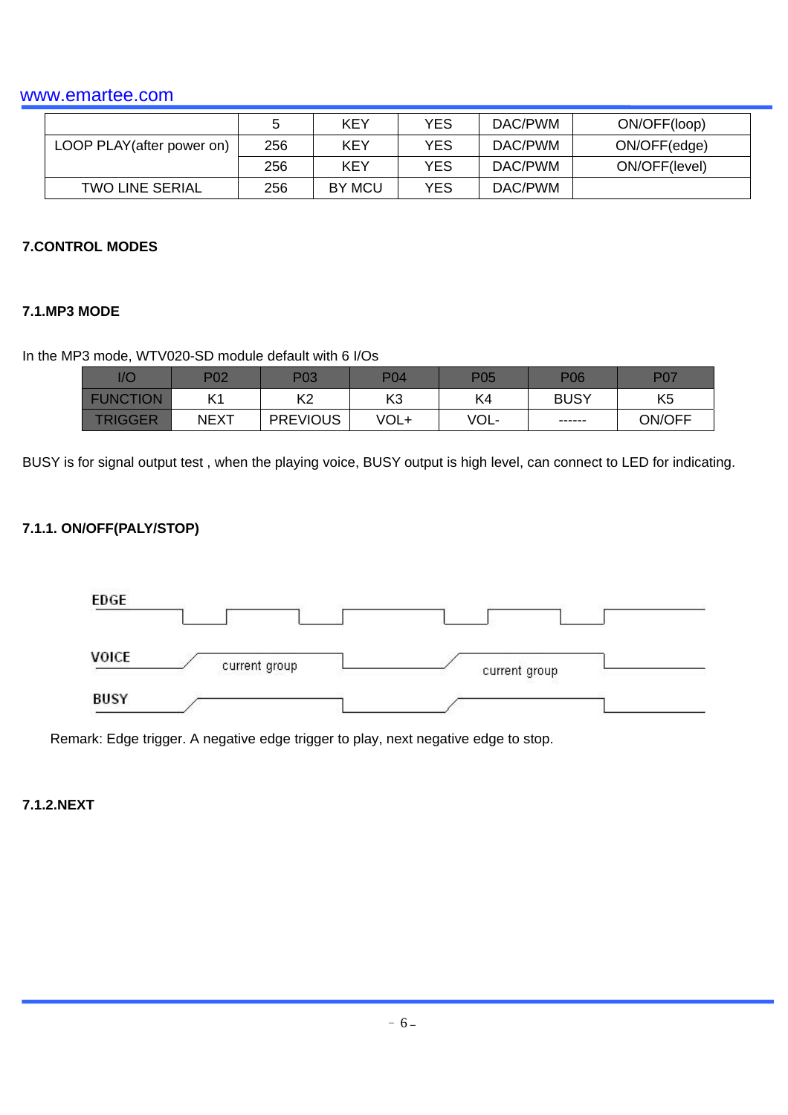|                            | ∽   | KEY        | YES | DAC/PWM | ON/OFF(loop)  |
|----------------------------|-----|------------|-----|---------|---------------|
| LOOP PLAY (after power on) | 256 | <b>KEY</b> | YES | DAC/PWM | ON/OFF(edge)  |
|                            | 256 | KEY        | YES | DAC/PWM | ON/OFF(level) |
| <b>TWO LINE SERIAL</b>     | 256 | BY MCU     | YES | DAC/PWM |               |

#### **7.CONTROL MODES**

#### **7.1.MP3 MODE**

#### In the MP3 mode, WTV020-SD module default with 6 I/Os

| 1/C           | P02         | P03             | P <sub>04</sub> | P05  | <b>P06</b>  | ־רם            |
|---------------|-------------|-----------------|-----------------|------|-------------|----------------|
| <b>FUNCT</b>  | IZ 4        | ⊭∩<br>╲∠        | KЗ              | K4   | <b>BUSY</b> | K <sub>5</sub> |
| <i>E</i> IGGE | <b>NEXT</b> | <b>PREVIOUS</b> | VOL+            | VOL- | ------      | ON/OFF         |

BUSY is for signal output test , when the playing voice, BUSY output is high level, can connect to LED for indicating.

#### **7.1.1. ON/OFF(PALY/STOP)**



Remark: Edge trigger. A negative edge trigger to play, next negative edge to stop.

### **7.1.2.NEXT**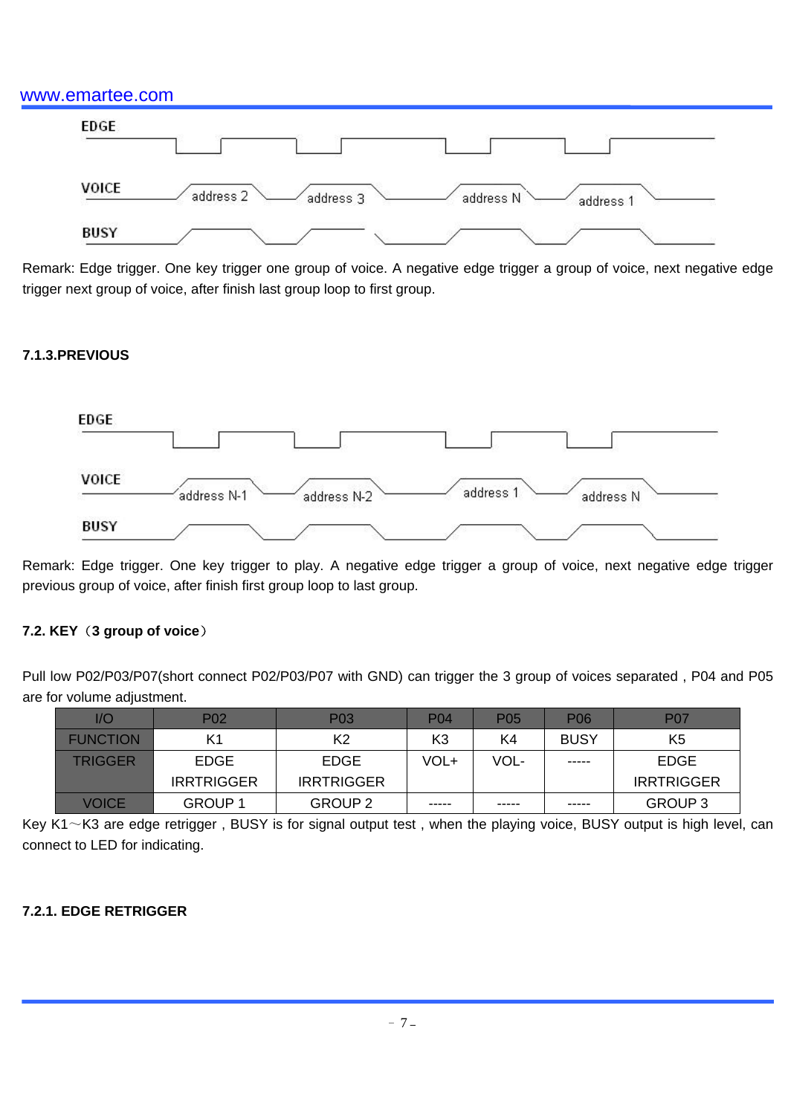

Remark: Edge trigger. One key trigger one group of voice. A negative edge trigger a group of voice, next negative edge trigger next group of voice, after finish last group loop to first group.

#### **7.1.3.PREVIOUS**



Remark: Edge trigger. One key trigger to play. A negative edge trigger a group of voice, next negative edge trigger previous group of voice, after finish first group loop to last group.

#### **7.2. KEY**(**3 group of voice**)

Pull low P02/P03/P07(short connect P02/P03/P07 with GND) can trigger the 3 group of voices separated , P04 and P05 are for volume adjustment.

| 1/O             | P <sub>0</sub> 2  | P <sub>0</sub> 3  | P <sub>0</sub> 4 | P05   | P <sub>06</sub> | <b>P07</b>        |
|-----------------|-------------------|-------------------|------------------|-------|-----------------|-------------------|
| <b>FUNCTION</b> | K1                | K2                | K3               | K4    | <b>BUSY</b>     | K <sub>5</sub>    |
| <b>TRIGGER</b>  | EDGE              | <b>EDGE</b>       | VOL+             | VOL-  | -----           | EDGE              |
|                 | <b>IRRTRIGGER</b> | <b>IRRTRIGGER</b> |                  |       |                 | <b>IRRTRIGGER</b> |
| VOICE           | GROUP 1           | GROUP 2           | -----            | ----- | -----           | GROUP 3           |

Key K1 $\sim$ K3 are edge retrigger, BUSY is for signal output test, when the playing voice, BUSY output is high level, can connect to LED for indicating.

#### **7.2.1. EDGE RETRIGGER**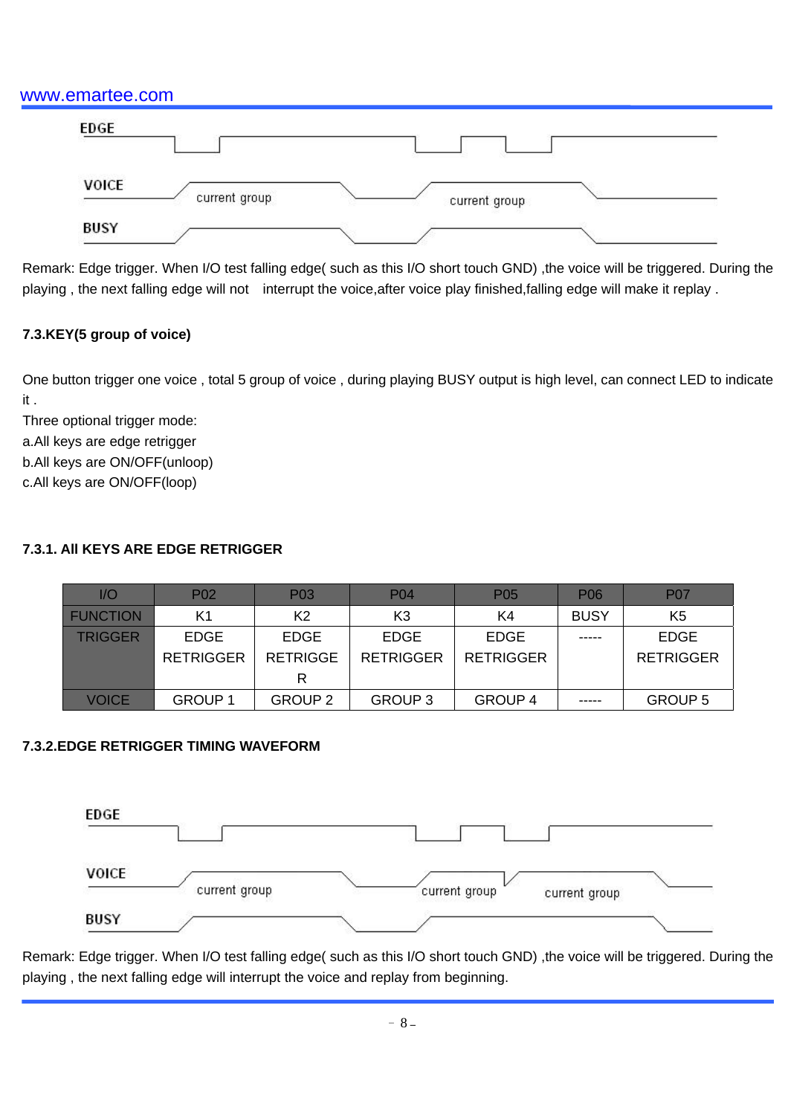| <b>EDGE</b>  |               |               |  |
|--------------|---------------|---------------|--|
| <b>VOICE</b> | current group | current group |  |
| <b>BUSY</b>  |               |               |  |

Remark: Edge trigger. When I/O test falling edge( such as this I/O short touch GND) ,the voice will be triggered. During the playing, the next falling edge will not interrupt the voice,after voice play finished,falling edge will make it replay.

# **7.3.KEY(5 group of voice)**

One button trigger one voice , total 5 group of voice , during playing BUSY output is high level, can connect LED to indicate it .

Three optional trigger mode:

a.All keys are edge retrigger

b.All keys are ON/OFF(unloop)

c.All keys are ON/OFF(loop)

# **7.3.1. All KEYS ARE EDGE RETRIGGER**

| 1/O             | P <sub>02</sub>  | P <sub>0</sub> 3 | <b>P04</b>       | P <sub>05</sub>  | <b>P06</b>  | <b>P07</b>       |
|-----------------|------------------|------------------|------------------|------------------|-------------|------------------|
| <b>FUNCTION</b> | K1               | K2               | K3               | K4               | <b>BUSY</b> | K <sub>5</sub>   |
| TRIGGER         | EDGE             | <b>EDGE</b>      | <b>EDGE</b>      | <b>EDGE</b>      | -----       | <b>EDGE</b>      |
|                 | <b>RETRIGGER</b> | <b>RETRIGGE</b>  | <b>RETRIGGER</b> | <b>RETRIGGER</b> |             | <b>RETRIGGER</b> |
|                 |                  | R                |                  |                  |             |                  |
| <b>VOICE</b>    | <b>GROUP 1</b>   | <b>GROUP 2</b>   | <b>GROUP 3</b>   | <b>GROUP 4</b>   | -----       | GROUP 5          |

# **7.3.2.EDGE RETRIGGER TIMING WAVEFORM**



Remark: Edge trigger. When I/O test falling edge( such as this I/O short touch GND) ,the voice will be triggered. During the playing , the next falling edge will interrupt the voice and replay from beginning.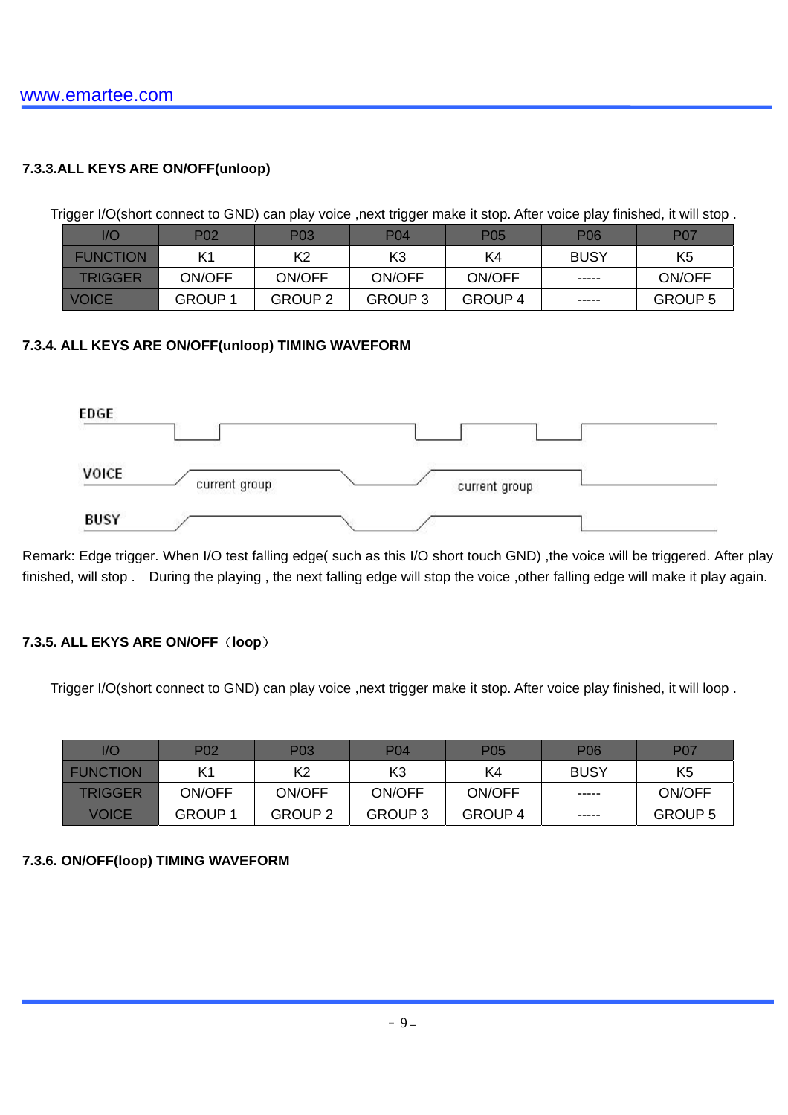### **7.3.3.ALL KEYS ARE ON/OFF(unloop)**

Trigger I/O(short connect to GND) can play voice ,next trigger make it stop. After voice play finished, it will stop.

| l/C             | P02           | P03            | <b>P04</b>     | P <sub>05</sub> | P06         | <b>P07</b>     |
|-----------------|---------------|----------------|----------------|-----------------|-------------|----------------|
| <b>FUNCTION</b> |               | K2             | K3             | K4              | <b>BUSY</b> | K5             |
| <b>TRIGGER</b>  | ON/OFF        | ON/OFF         | ON/OFF         | ON/OFF          |             | ON/OFF         |
| <b>VOICE</b>    | <b>GROUP1</b> | <b>GROUP 2</b> | <b>GROUP 3</b> | GROUP 4         | $- - - - -$ | <b>GROUP 5</b> |

#### **7.3.4. ALL KEYS ARE ON/OFF(unloop) TIMING WAVEFORM**



Remark: Edge trigger. When I/O test falling edge( such as this I/O short touch GND) ,the voice will be triggered. After play finished, will stop . During the playing , the next falling edge will stop the voice ,other falling edge will make it play again.

### **7.3.5. ALL EKYS ARE ON/OFF**(**loop**)

Trigger I/O(short connect to GND) can play voice ,next trigger make it stop. After voice play finished, it will loop.

| 1/O             | P <sub>0</sub> 2 | P <sub>0</sub> 3 | P04     | P05     | <b>P06</b>  | P07            |
|-----------------|------------------|------------------|---------|---------|-------------|----------------|
| <b>FUNCTION</b> | K1               | K2               | K3      | K4      | <b>BUSY</b> | K5             |
| <b>TRIGGER</b>  | ON/OFF           | ON/OFF           | ON/OFF  | ON/OFF  | -----       | ON/OFF         |
| VOICE           | <b>GROUP1</b>    | <b>GROUP 2</b>   | GROUP 3 | GROUP 4 | -----       | <b>GROUP 5</b> |

#### **7.3.6. ON/OFF(loop) TIMING WAVEFORM**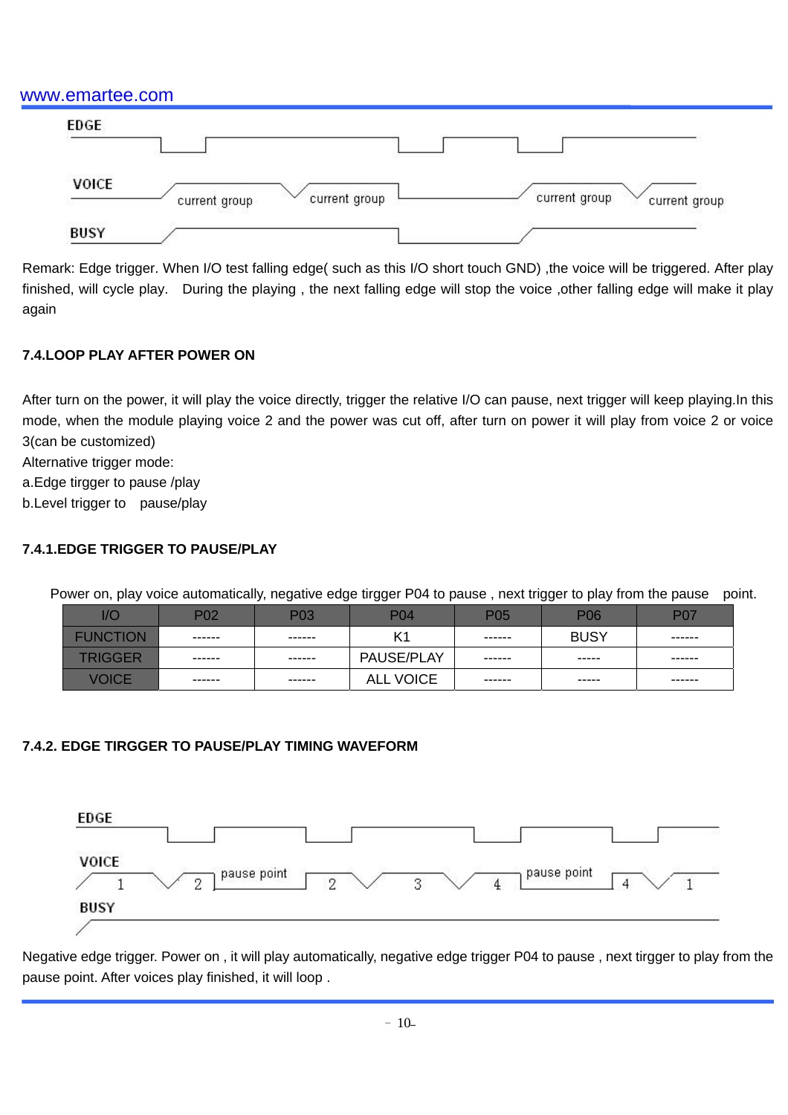| <b>EDGE</b>  |                                |                                |
|--------------|--------------------------------|--------------------------------|
| <b>VOICE</b> | current group<br>current group | current group<br>current group |
| <b>BUSY</b>  |                                |                                |

Remark: Edge trigger. When I/O test falling edge( such as this I/O short touch GND) ,the voice will be triggered. After play finished, will cycle play. During the playing , the next falling edge will stop the voice ,other falling edge will make it play again

#### **7.4.LOOP PLAY AFTER POWER ON**

After turn on the power, it will play the voice directly, trigger the relative I/O can pause, next trigger will keep playing.In this mode, when the module playing voice 2 and the power was cut off, after turn on power it will play from voice 2 or voice 3(can be customized)

Alternative trigger mode:

a.Edge tirgger to pause /play

b.Level trigger to pause/play

#### **7.4.1.EDGE TRIGGER TO PAUSE/PLAY**

Power on, play voice automatically, negative edge tirgger P04 to pause, next trigger to play from the pause point.

| l/C             | P <sub>02</sub> | P <sub>0</sub> 3 | P04               | P <sub>05</sub> | <b>P06</b>  | <b>P07</b>    |
|-----------------|-----------------|------------------|-------------------|-----------------|-------------|---------------|
| <b>FUNCTION</b> | ------          | ------           | K1                | ------          | <b>BUSY</b> | ------        |
| <b>TRIGGER</b>  | ------          | ------           | <b>PAUSE/PLAY</b> |                 | $- - - - -$ | $- - - - - -$ |
| VOICE           | ------          | ------           | <b>ALL VOICE</b>  | ------          | -----       | ------        |

### **7.4.2. EDGE TIRGGER TO PAUSE/PLAY TIMING WAVEFORM**



Negative edge trigger. Power on , it will play automatically, negative edge trigger P04 to pause , next tirgger to play from the pause point. After voices play finished, it will loop .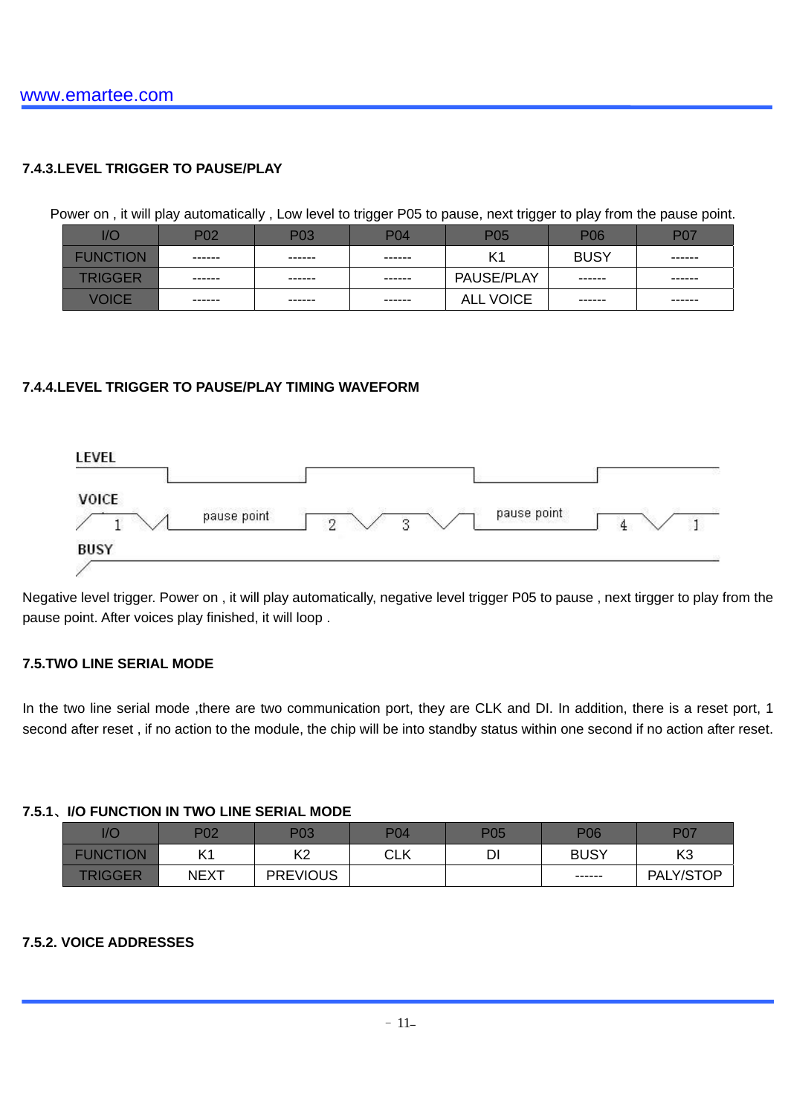#### **7.4.3.LEVEL TRIGGER TO PAUSE/PLAY**

Power on , it will play automatically , Low level to trigger P05 to pause, next trigger to play from the pause point.

| l/C             | P02    | P03           | <b>P04</b> | P <sub>05</sub>   | P <sub>06</sub> | <b>P07</b>    |
|-----------------|--------|---------------|------------|-------------------|-----------------|---------------|
| <b>FUNCTION</b> | ------ | ------        | ------     | K <sub>1</sub>    | <b>BUSY</b>     | ------        |
| <b>TRIGGER</b>  | ------ | $- - - - - -$ | -------    | <b>PAUSE/PLAY</b> | ------          | $- - - - - -$ |
| <b>VOICE</b>    | ------ | ------        | ------     | <b>ALL VOICE</b>  | ------          | ------        |

#### **7.4.4.LEVEL TRIGGER TO PAUSE/PLAY TIMING WAVEFORM**



Negative level trigger. Power on , it will play automatically, negative level trigger P05 to pause , next tirgger to play from the pause point. After voices play finished, it will loop .

#### **7.5.TWO LINE SERIAL MODE**

In the two line serial mode ,there are two communication port, they are CLK and DI. In addition, there is a reset port, 1 second after reset , if no action to the module, the chip will be into standby status within one second if no action after reset.

#### **7.5.1**、**I/O FUNCTION IN TWO LINE SERIAL MODE**

| 1/C             | P02         | P03             | <b>P04</b>  | P05     | <b>P06</b>  | <b>P07</b>       |
|-----------------|-------------|-----------------|-------------|---------|-------------|------------------|
| <b>FUNCTION</b> | IΔ          | K <sub>2</sub>  | rı k<br>◡∟∩ | וח<br>◡ | <b>BUSY</b> | K <sub>3</sub>   |
| <b>TRIGGER</b>  | <b>NEXT</b> | <b>PREVIOUS</b> |             |         | ------      | Y/STOP_<br>PALY, |

#### **7.5.2. VOICE ADDRESSES**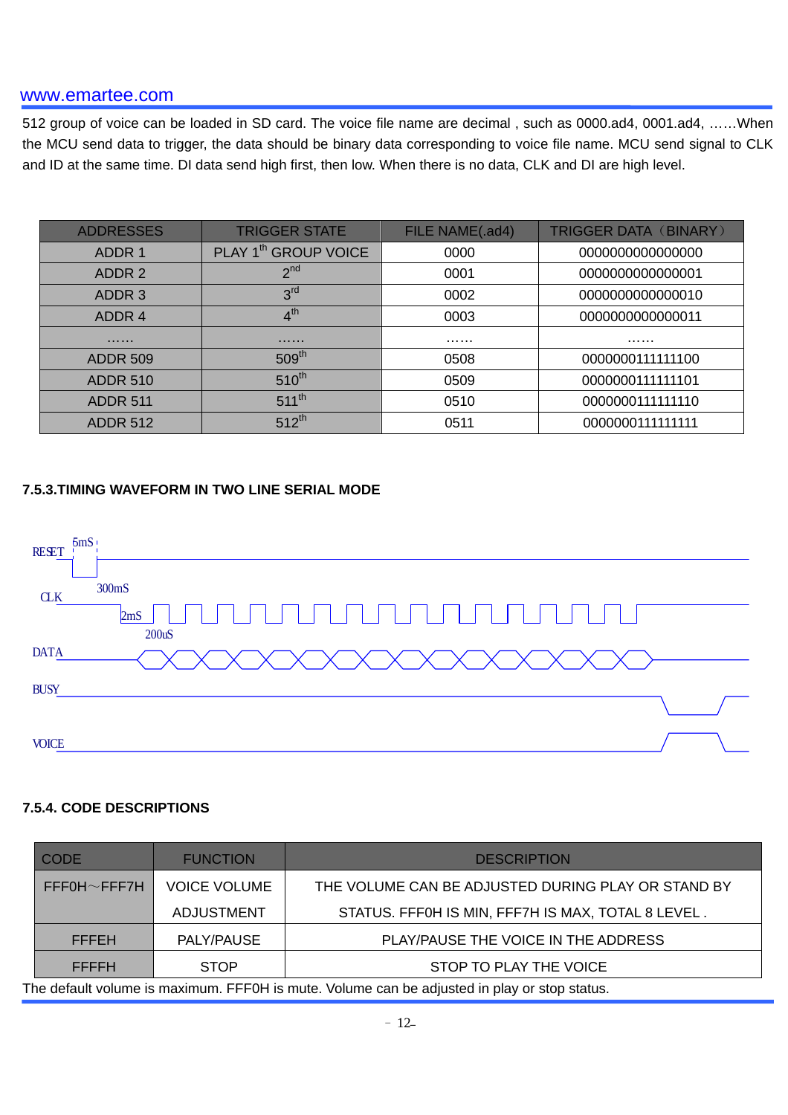512 group of voice can be loaded in SD card. The voice file name are decimal , such as 0000.ad4, 0001.ad4, ……When the MCU send data to trigger, the data should be binary data corresponding to voice file name. MCU send signal to CLK and ID at the same time. DI data send high first, then low. When there is no data, CLK and DI are high level.

| <b>ADDRESSES</b> | <b>TRIGGER STATE</b>             | FILE NAME(.ad4) | TRIGGER DATA (BINARY) |
|------------------|----------------------------------|-----------------|-----------------------|
| ADDR 1           | PLAY 1 <sup>th</sup> GROUP VOICE | 0000            | 0000000000000000      |
| ADDR 2           | 2 <sup>nd</sup>                  | 0001            | 000000000000001       |
| ADDR 3           | 3 <sup>rd</sup>                  | 0002            | 000000000000010       |
| ADDR 4           | 4 <sup>th</sup>                  | 0003            | 0000000000000011      |
| .                | .                                | .               | .                     |
| <b>ADDR 509</b>  | 509 <sup>th</sup>                | 0508            | 0000000111111100      |
| <b>ADDR 510</b>  | $510^{th}$                       | 0509            | 0000000111111101      |
| <b>ADDR 511</b>  | $511^{th}$                       | 0510            | 0000000111111110      |
| <b>ADDR 512</b>  | $512^{th}$                       | 0511            | 0000000111111111      |

#### **7.5.3.TIMING WAVEFORM IN TWO LINE SERIAL MODE**



#### **7.5.4. CODE DESCRIPTIONS**

| <b>CODE</b>                                                                                  | <b>FUNCTION</b>                                                           | <b>DESCRIPTION</b>                                 |  |
|----------------------------------------------------------------------------------------------|---------------------------------------------------------------------------|----------------------------------------------------|--|
| $FFFOH \sim FFF7H$                                                                           | <b>VOICE VOLUME</b><br>THE VOLUME CAN BE ADJUSTED DURING PLAY OR STAND BY |                                                    |  |
|                                                                                              | <b>ADJUSTMENT</b>                                                         | STATUS. FFF0H IS MIN, FFF7H IS MAX, TOTAL 8 LEVEL. |  |
| PLAY/PAUSE THE VOICE IN THE ADDRESS<br>PALY/PAUSE<br><b>FFFEH</b>                            |                                                                           |                                                    |  |
| <b>FFFFH</b>                                                                                 | <b>STOP</b>                                                               | STOP TO PLAY THE VOICE                             |  |
| The default volume is maximum. FFF0H is mute. Volume can be adjusted in play or stop status. |                                                                           |                                                    |  |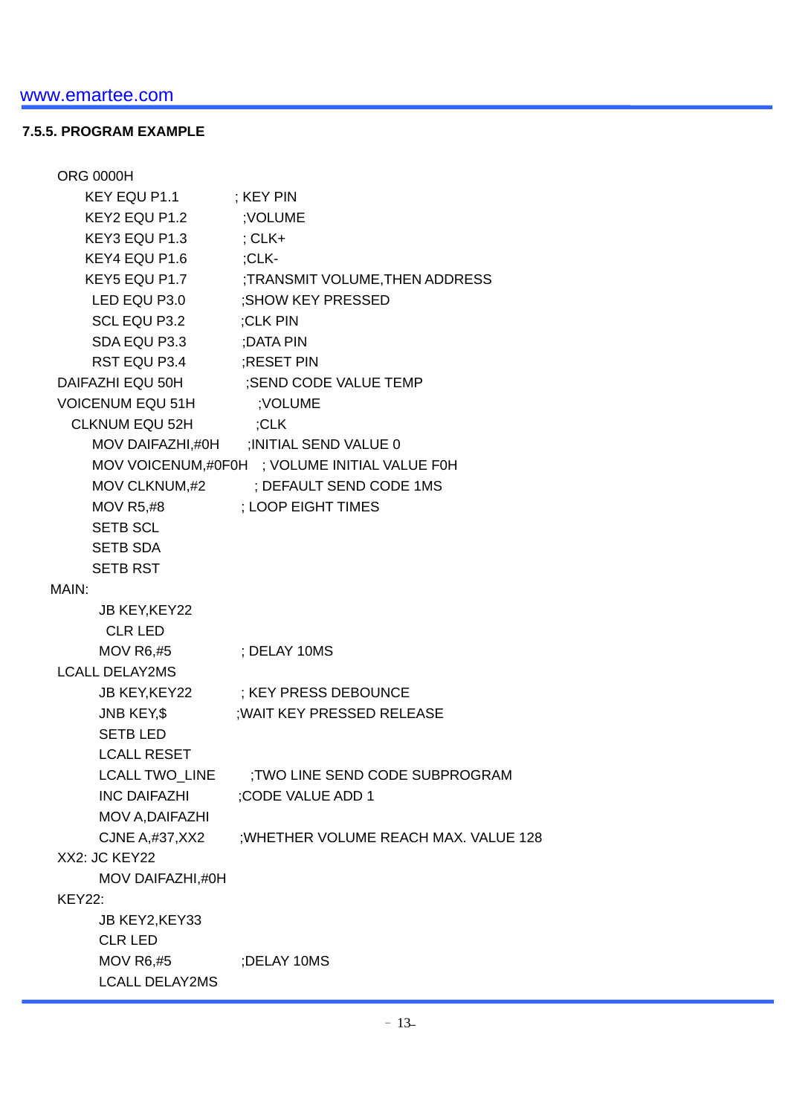#### **7.5.5. PROGRAM EXAMPLE**

| <b>ORG 0000H</b>        |                                               |
|-------------------------|-----------------------------------------------|
| KEY EQU P1.1            | ; KEY PIN                                     |
| KEY2 EQU P1.2 ; VOLUME  |                                               |
| KEY3 EQU P1.3 : CLK+    |                                               |
| KEY4 EQU P1.6           | :CLK-                                         |
|                         | KEY5 EQU P1.7 :TRANSMIT VOLUME, THEN ADDRESS  |
|                         | LED EQU P3.0 ;SHOW KEY PRESSED                |
| SCL EQU P3.2 ;CLK PIN   |                                               |
| SDA EQU P3.3 :DATA PIN  |                                               |
| RST EQU P3.4 ;RESET PIN |                                               |
|                         | DAIFAZHI EQU 50H ;SEND CODE VALUE TEMP        |
| <b>VOICENUM EQU 51H</b> | ; VOLUME                                      |
| <b>CLKNUM EQU 52H</b>   | ;CLK                                          |
|                         | MOV DAIFAZHI,#0H ; INITIAL SEND VALUE 0       |
|                         | MOV VOICENUM,#0F0H ; VOLUME INITIAL VALUE F0H |
|                         | MOV CLKNUM,#2 ; DEFAULT SEND CODE 1MS         |
|                         | MOV R5.#8 : LOOP EIGHT TIMES                  |
| <b>SETB SCL</b>         |                                               |
| <b>SETB SDA</b>         |                                               |
| <b>SETB RST</b>         |                                               |
| MAIN:                   |                                               |
| <b>JB KEY, KEY22</b>    |                                               |
| <b>CLR LED</b>          |                                               |
| $MOV$ R6,#5             | : DELAY 10MS                                  |
| <b>LCALL DELAY2MS</b>   |                                               |
|                         | JB KEY, KEY22 ; KEY PRESS DEBOUNCE            |
| JNB KEY,\$              | ; WAIT KEY PRESSED RELEASE                    |
| <b>SETBLED</b>          |                                               |
| <b>LCALL RESET</b>      |                                               |
| LCALL TWO_LINE          | :TWO LINE SEND CODE SUBPROGRAM                |
| <b>INC DAIFAZHI</b>     | ;CODE VALUE ADD 1                             |
| MOV A, DAIFAZHI         |                                               |
| CJNE A,#37,XX2          | ; WHETHER VOLUME REACH MAX. VALUE 128         |
| XX2: JC KEY22           |                                               |
| MOV DAIFAZHI,#0H        |                                               |
| <b>KEY22:</b>           |                                               |
| JB KEY2, KEY33          |                                               |
| <b>CLR LED</b>          |                                               |
| <b>MOV R6,#5</b>        | ;DELAY 10MS                                   |
| <b>LCALL DELAY2MS</b>   |                                               |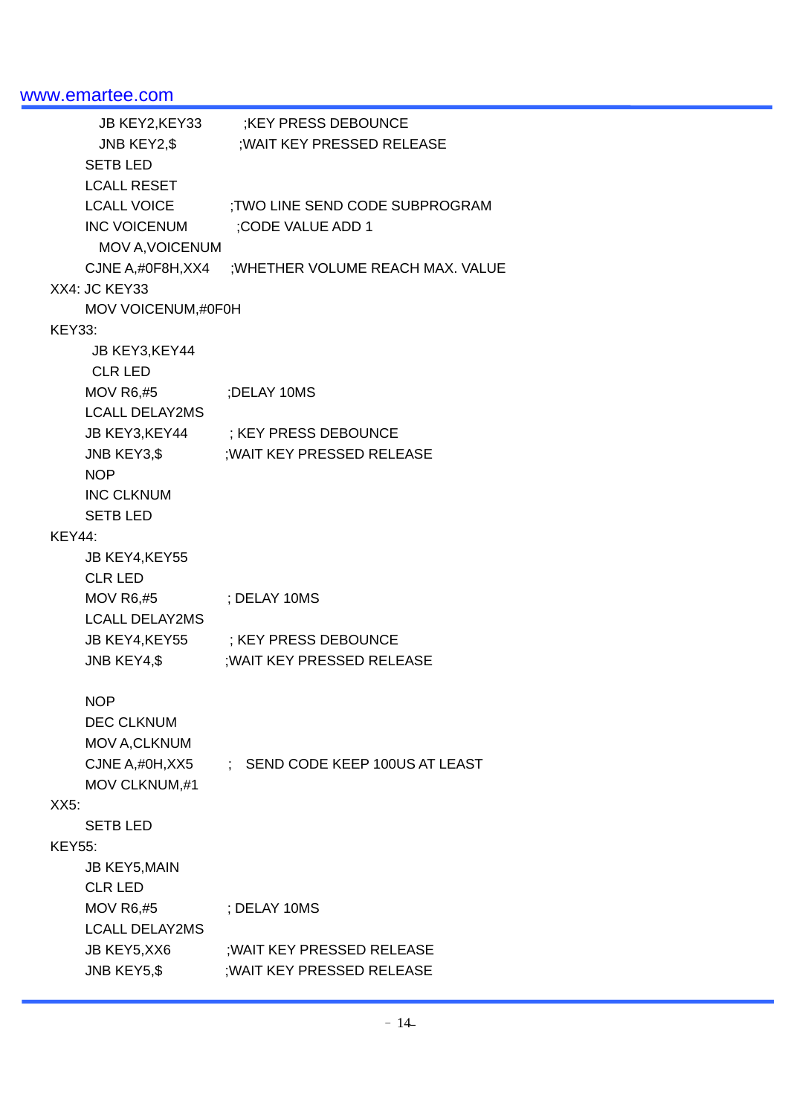| JB KEY2,KEY33          | <b>;KEY PRESS DEBOUNCE</b>          |
|------------------------|-------------------------------------|
| JNB KEY2,\$            | ; WAIT KEY PRESSED RELEASE          |
| <b>SETB LED</b>        |                                     |
| <b>LCALL RESET</b>     |                                     |
| <b>LCALL VOICE</b>     | ;TWO LINE SEND CODE SUBPROGRAM      |
| INC VOICENUM           | ;CODE VALUE ADD 1                   |
| <b>MOV A, VOICENUM</b> |                                     |
| CJNE A,#0F8H,XX4       | ; WHETHER VOLUME REACH MAX. VALUE   |
| XX4: JC KEY33          |                                     |
| MOV VOICENUM,#0F0H     |                                     |
| <b>KEY33:</b>          |                                     |
| JB KEY3, KEY44         |                                     |
| <b>CLR LED</b>         |                                     |
| <b>MOV R6,#5</b>       | ;DELAY 10MS                         |
| <b>LCALL DELAY2MS</b>  |                                     |
|                        | JB KEY3, KEY44 ; KEY PRESS DEBOUNCE |
| JNB KEY3,\$            | ; WAIT KEY PRESSED RELEASE          |
| <b>NOP</b>             |                                     |
| <b>INC CLKNUM</b>      |                                     |
| <b>SETBLED</b>         |                                     |
| <b>KEY44:</b>          |                                     |
| JB KEY4, KEY55         |                                     |
| <b>CLR LED</b>         |                                     |
| <b>MOV R6,#5</b>       | ; DELAY 10MS                        |
| <b>LCALL DELAY2MS</b>  |                                     |
| JB KEY4,KEY55          | : KEY PRESS DEBOUNCE                |
| $JNB$ KEY4,\$          | ; WAIT KEY PRESSED RELEASE          |
| <b>NOP</b>             |                                     |
| <b>DEC CLKNUM</b>      |                                     |
| MOV A, CLKNUM          |                                     |
| CJNE A,#0H,XX5         | : SEND CODE KEEP 100US AT LEAST     |
| MOV CLKNUM,#1          |                                     |
| XX5:                   |                                     |
| <b>SETB LED</b>        |                                     |
| <b>KEY55:</b>          |                                     |
| <b>JB KEY5, MAIN</b>   |                                     |
| <b>CLR LED</b>         |                                     |
| <b>MOV R6,#5</b>       | : DELAY 10MS                        |
| <b>LCALL DELAY2MS</b>  |                                     |
| JB KEY5, XX6           | ; WAIT KEY PRESSED RELEASE          |
| JNB KEY5,\$            | ; WAIT KEY PRESSED RELEASE          |
|                        |                                     |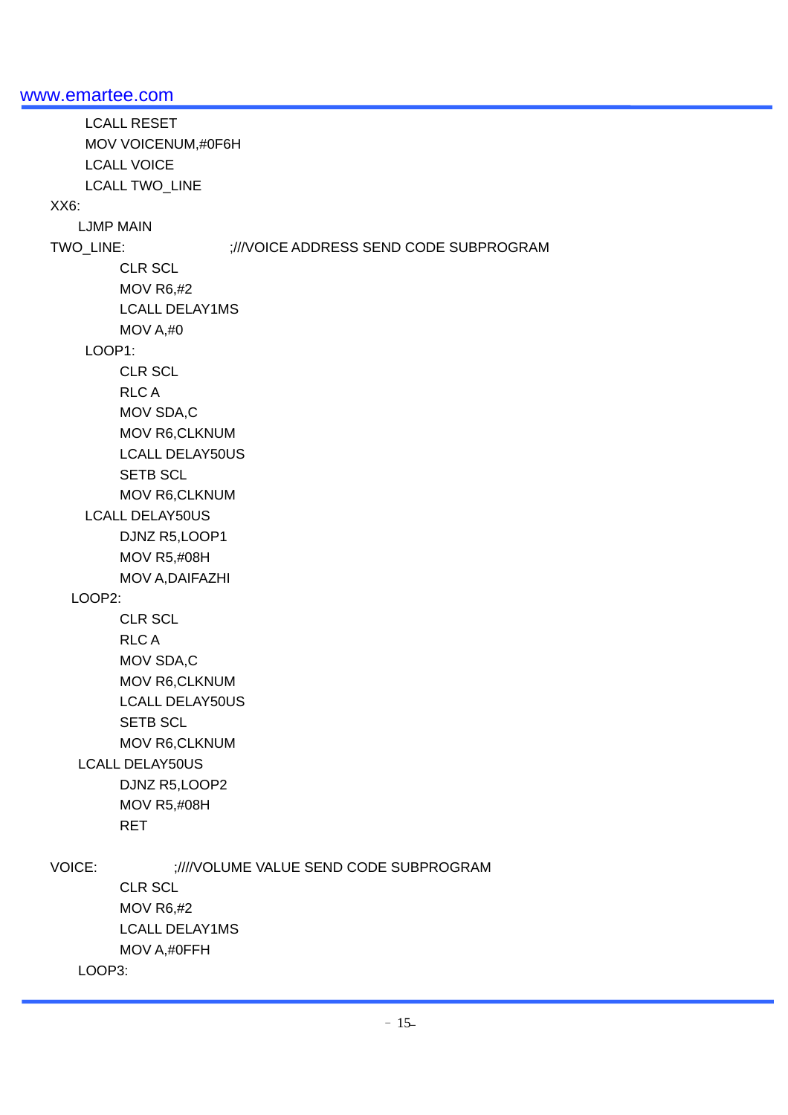LCALL RESET MOV VOICENUM,#0F6H LCALL VOICE LCALL TWO\_LINE XX6: LJMP MAIN TWO\_LINE: ;///VOICE ADDRESS SEND CODE SUBPROGRAM CLR SCL MOV R6,#2 LCALL DELAY1MS MOV A,#0 LOOP1: CLR SCL RLC A MOV SDA,C MOV R6,CLKNUM LCALL DELAY50US **SETB SCL**  MOV R6,CLKNUM LCALL DELAY50US DJNZ R5,LOOP1 MOV R5,#08H MOV A,DAIFAZHI LOOP2: CLR SCL RLC A MOV SDA,C MOV R6,CLKNUM LCALL DELAY50US SETB SCL MOV R6,CLKNUM LCALL DELAY50US DJNZ R5,LOOP2 MOV R5,#08H RET VOICE: ;////VOLUME VALUE SEND CODE SUBPROGRAM CLR SCL MOV R6,#2 LCALL DELAY1MS MOV A,#0FFH LOOP3: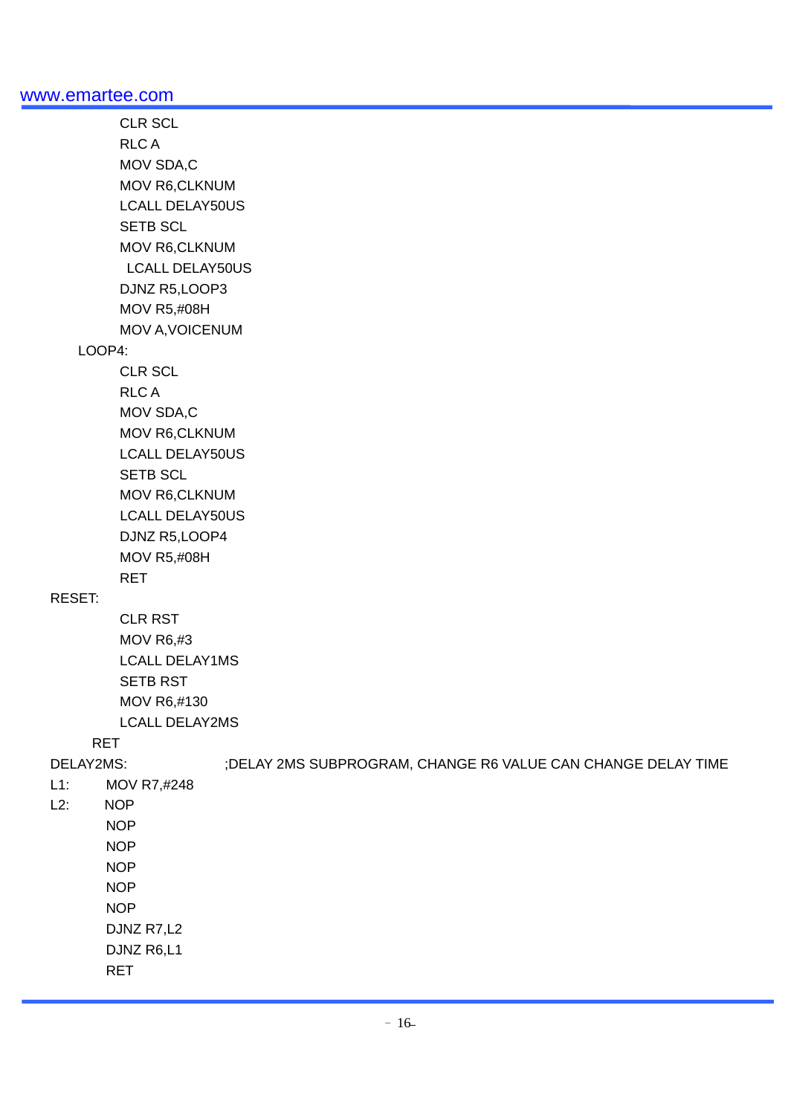CLR SCL RLC A MOV SDA,C MOV R6,CLKNUM LCALL DELAY50US SETB SCL MOV R6,CLKNUM LCALL DELAY50US DJNZ R5,LOOP3 MOV R5,#08H MOV A,VOICENUM LOOP4: CLR SCL RLC A MOV SDA,C MOV R6,CLKNUM LCALL DELAY50US **SETB SCL**  MOV R6,CLKNUM LCALL DELAY50US DJNZ R5,LOOP4 MOV R5,#08H RET RESET: CLR RST MOV R6,#3 LCALL DELAY1MS SETB RST MOV R6,#130 LCALL DELAY2MS RET DELAY2MS: ;DELAY 2MS SUBPROGRAM, CHANGE R6 VALUE CAN CHANGE DELAY TIME L1: MOV R7,#248 L2: NOP NOP NOP **NOP**  NOP NOP DJNZ R7,L2 DJNZ R6,L1

RET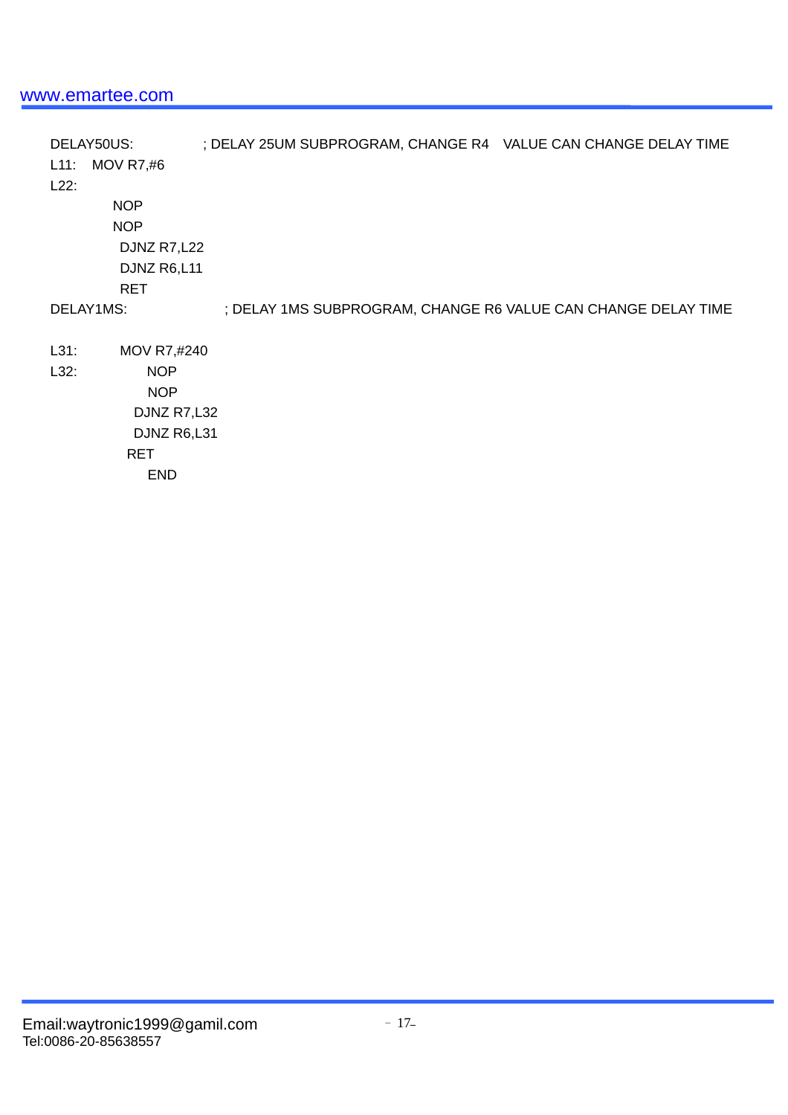DELAY50US: ; DELAY 25UM SUBPROGRAM, CHANGE R4 VALUE CAN CHANGE DELAY TIME L11: MOV R7,#6 L22: NOP NOP DJNZ R7,L22 DJNZ R6,L11 RET DELAY1MS: ; DELAY 1MS SUBPROGRAM, CHANGE R6 VALUE CAN CHANGE DELAY TIME L31: MOV R7,#240 L32: NOP NOP DJNZ R7,L32 DJNZ R6,L31 RET END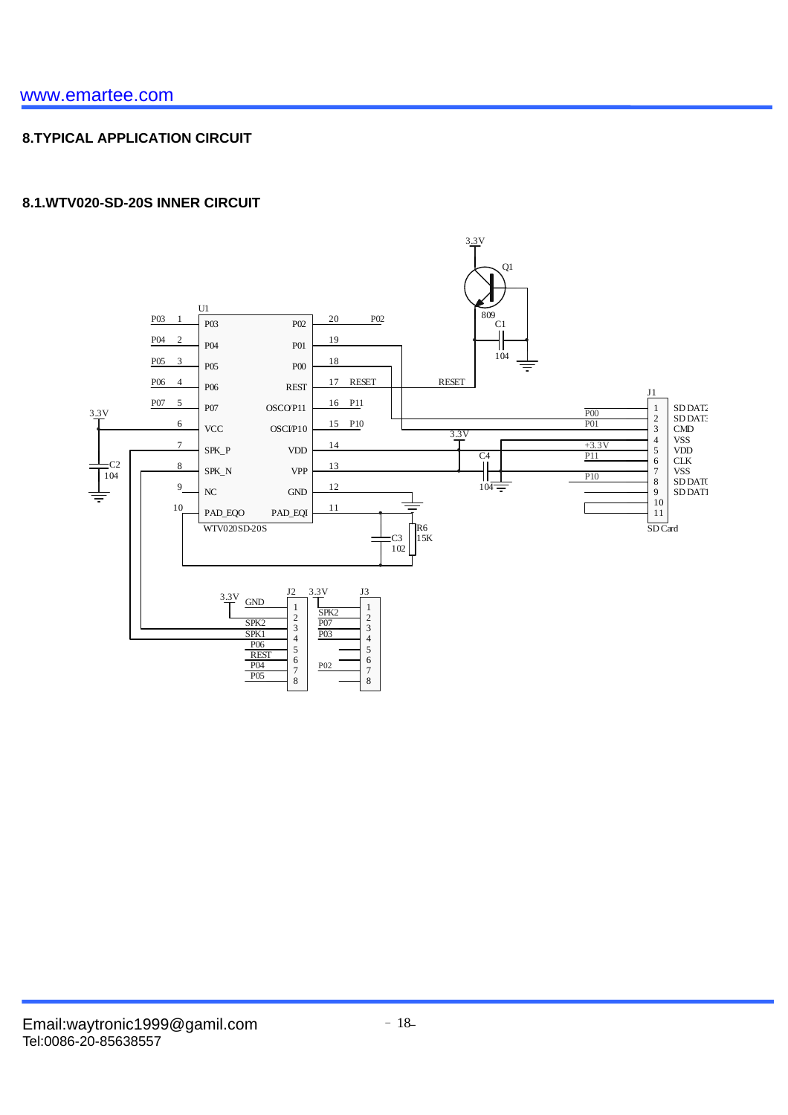# **8.TYPICAL APPLICATION CIRCUIT**

### **8.1.WTV020-SD-20S INNER CIRCUIT**

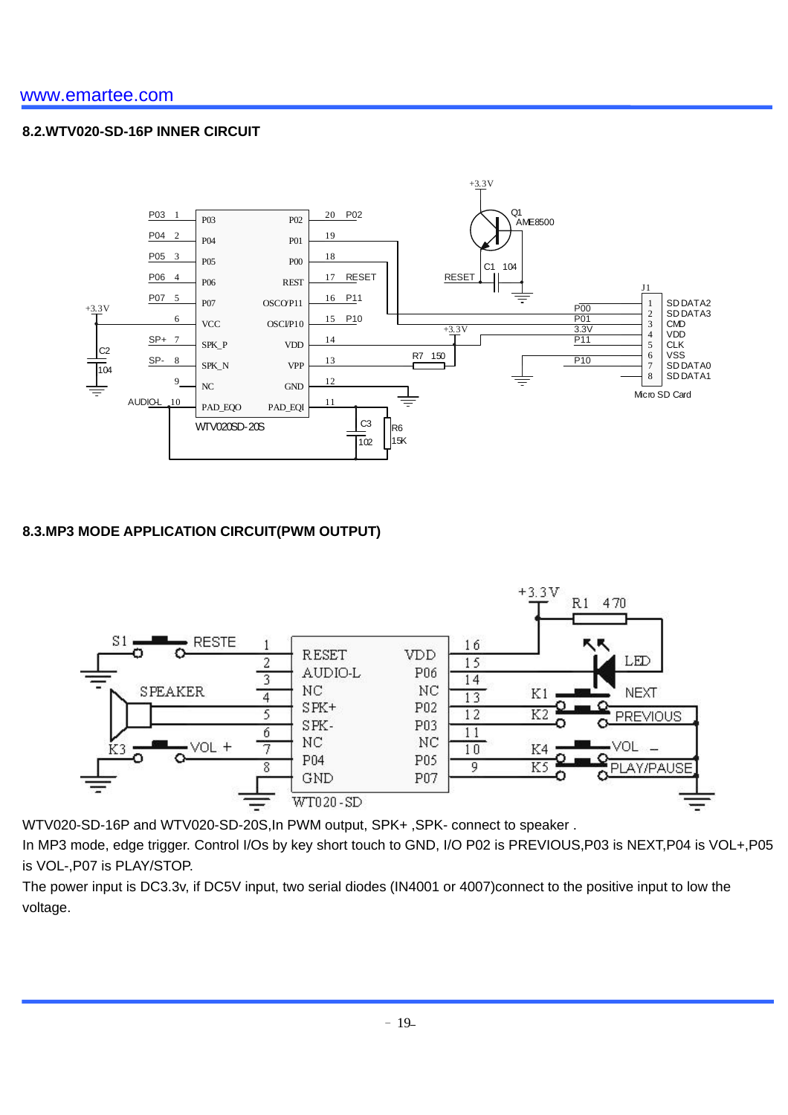#### **8.2.WTV020-SD-16P INNER CIRCUIT**



### **8.3.MP3 MODE APPLICATION CIRCUIT(PWM OUTPUT)**



WTV020-SD-16P and WTV020-SD-20S,In PWM output, SPK+ ,SPK- connect to speaker .

In MP3 mode, edge trigger. Control I/Os by key short touch to GND, I/O P02 is PREVIOUS,P03 is NEXT,P04 is VOL+,P05 is VOL-,P07 is PLAY/STOP.

The power input is DC3.3v, if DC5V input, two serial diodes (IN4001 or 4007)connect to the positive input to low the voltage.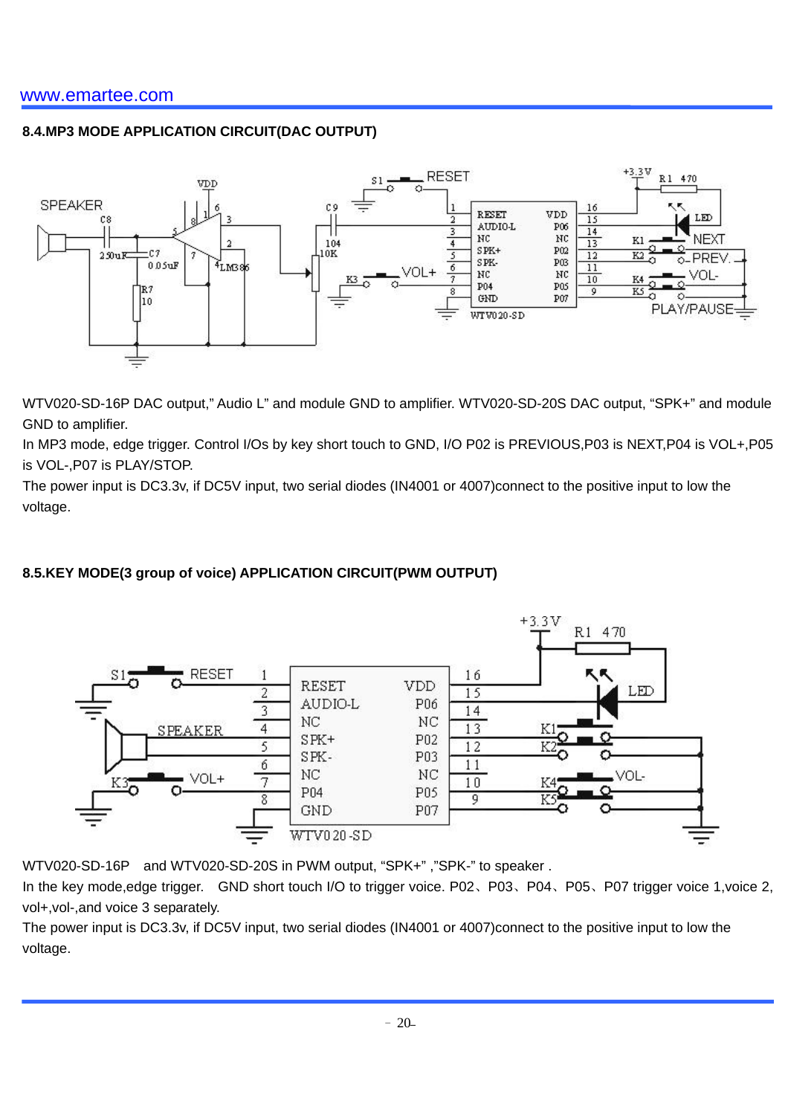# **8.4.MP3 MODE APPLICATION CIRCUIT(DAC OUTPUT)**



WTV020-SD-16P DAC output," Audio L" and module GND to amplifier. WTV020-SD-20S DAC output, "SPK+" and module GND to amplifier.

In MP3 mode, edge trigger. Control I/Os by key short touch to GND, I/O P02 is PREVIOUS,P03 is NEXT,P04 is VOL+,P05 is VOL-,P07 is PLAY/STOP.

The power input is DC3.3v, if DC5V input, two serial diodes (IN4001 or 4007)connect to the positive input to low the voltage.

### **8.5.KEY MODE(3 group of voice) APPLICATION CIRCUIT(PWM OUTPUT)**



WTV020-SD-16P and WTV020-SD-20S in PWM output, "SPK+", "SPK-" to speaker.

In the key mode, edge trigger. GND short touch I/O to trigger voice. P02、P03、P04、P05、P07 trigger voice 1, voice 2, vol+,vol-,and voice 3 separately.

The power input is DC3.3v, if DC5V input, two serial diodes (IN4001 or 4007)connect to the positive input to low the voltage.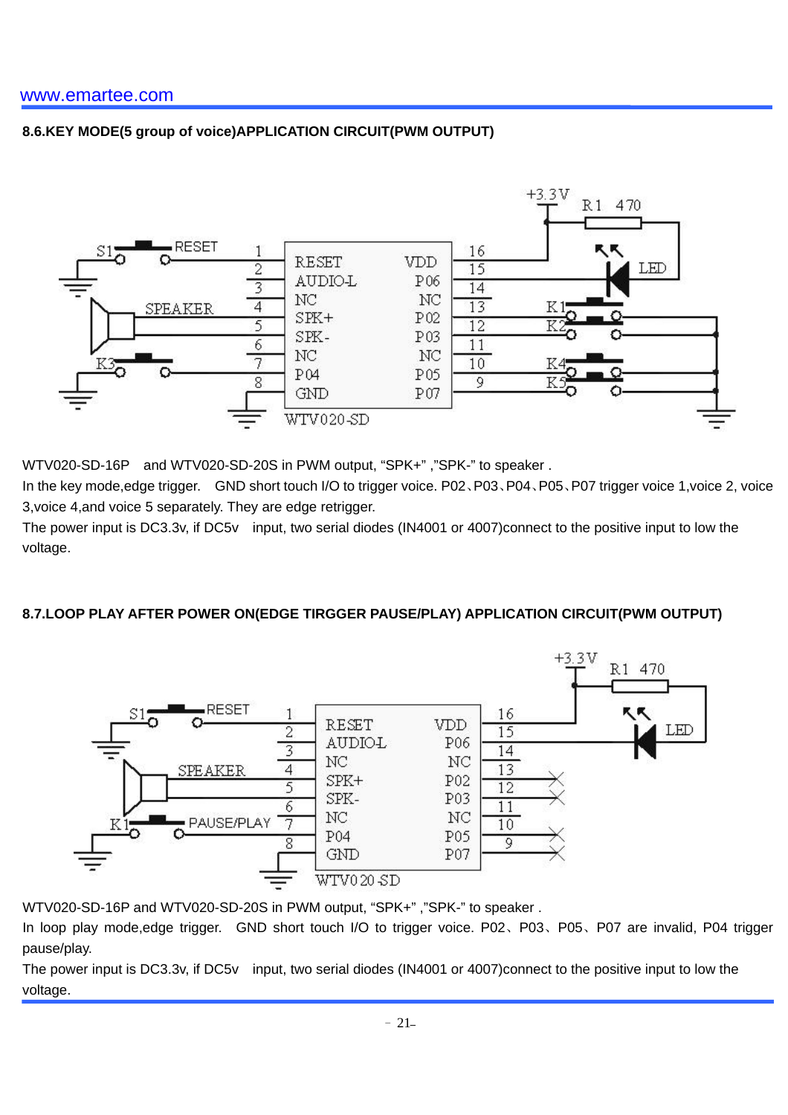### **8.6.KEY MODE(5 group of voice)APPLICATION CIRCUIT(PWM OUTPUT)**



WTV020-SD-16P and WTV020-SD-20S in PWM output, "SPK+" ,"SPK-" to speaker .

In the key mode,edge trigger. GND short touch I/O to trigger voice. P02、P03、P04、P05、P07 trigger voice 1,voice 2, voice 3,voice 4,and voice 5 separately. They are edge retrigger.

The power input is DC3.3v, if DC5v input, two serial diodes (IN4001 or 4007)connect to the positive input to low the voltage.

### **8.7.LOOP PLAY AFTER POWER ON(EDGE TIRGGER PAUSE/PLAY) APPLICATION CIRCUIT(PWM OUTPUT)**



WTV020-SD-16P and WTV020-SD-20S in PWM output, "SPK+" ,"SPK-" to speaker .

In loop play mode,edge trigger. GND short touch I/O to trigger voice. P02、P03、P05、P07 are invalid, P04 trigger pause/play.

The power input is DC3.3v, if DC5v input, two serial diodes (IN4001 or 4007)connect to the positive input to low the voltage.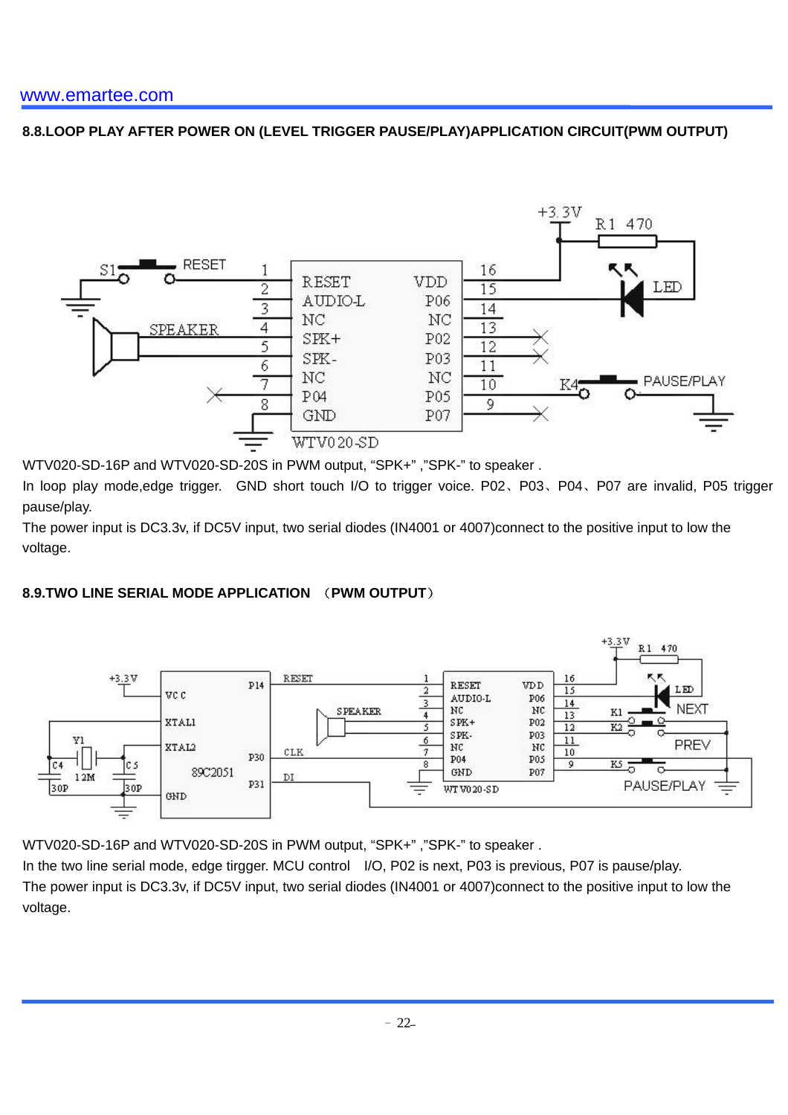# **8.8.LOOP PLAY AFTER POWER ON (LEVEL TRIGGER PAUSE/PLAY)APPLICATION CIRCUIT(PWM OUTPUT)**



WTV020-SD-16P and WTV020-SD-20S in PWM output, "SPK+" ,"SPK-" to speaker .

In loop play mode,edge trigger. GND short touch I/O to trigger voice. P02、P03、P04、P07 are invalid, P05 trigger pause/play.

The power input is DC3.3v, if DC5V input, two serial diodes (IN4001 or 4007)connect to the positive input to low the voltage.

### **8.9.TWO LINE SERIAL MODE APPLICATION** (**PWM OUTPUT**)



WTV020-SD-16P and WTV020-SD-20S in PWM output, "SPK+" ,"SPK-" to speaker .

In the two line serial mode, edge tirgger. MCU control I/O, P02 is next, P03 is previous, P07 is pause/play. The power input is DC3.3v, if DC5V input, two serial diodes (IN4001 or 4007)connect to the positive input to low the voltage.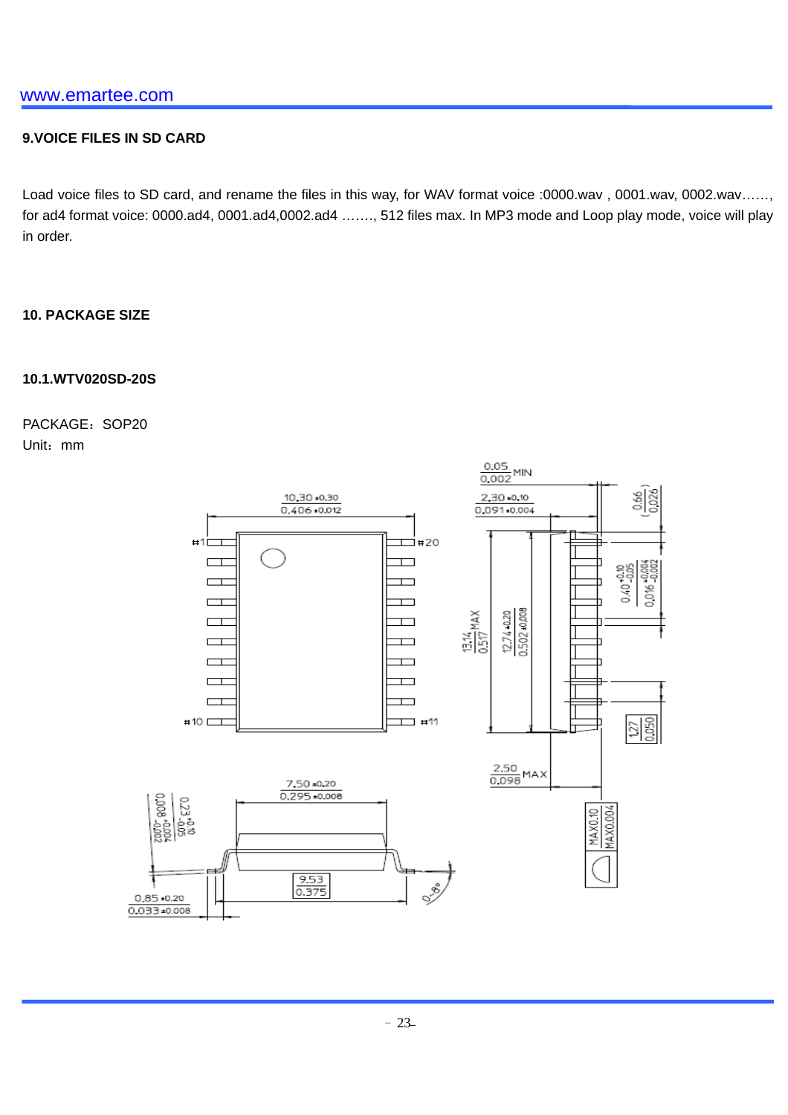#### **9.VOICE FILES IN SD CARD**

Load voice files to SD card, and rename the files in this way, for WAV format voice :0000.wav , 0001.wav, 0002.wav……, for ad4 format voice: 0000.ad4, 0001.ad4,0002.ad4 ……., 512 files max. In MP3 mode and Loop play mode, voice will play in order.

#### **10. PACKAGE SIZE**

#### **10.1.WTV020SD-20S**

PACKAGE: SOP20 Unit:mm

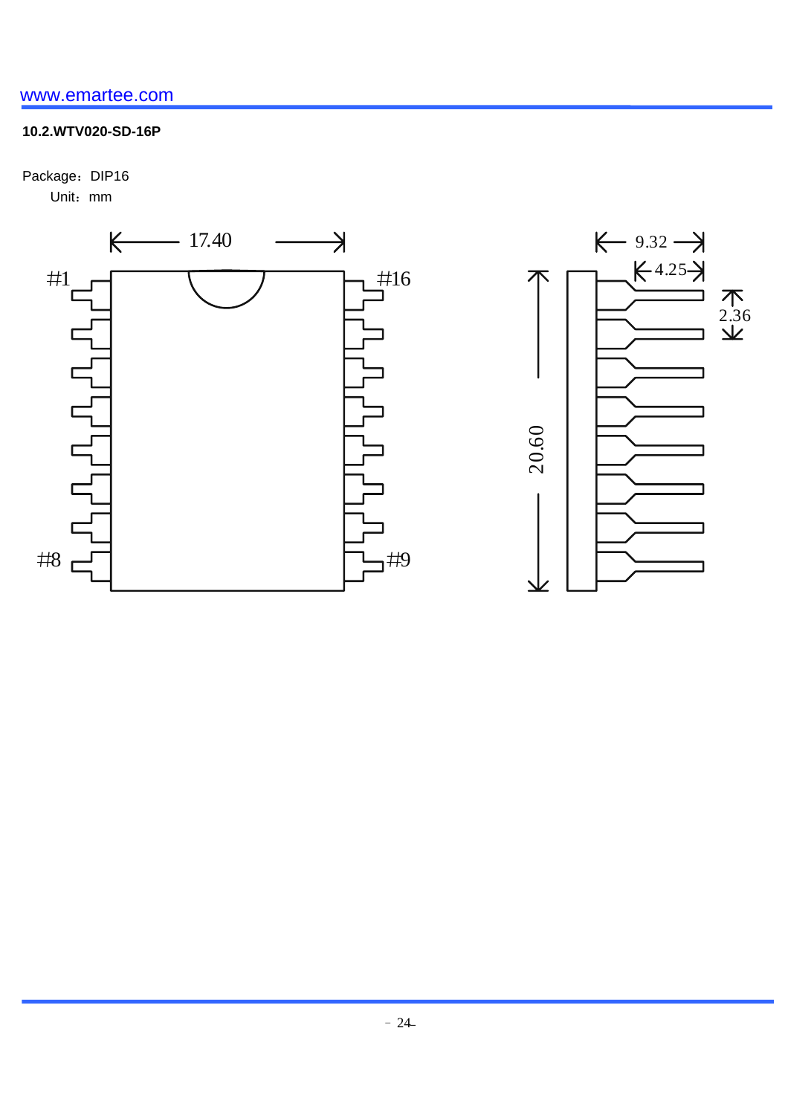# **10.2.WTV020-SD-16P**

Package: DIP16 Unit:mm

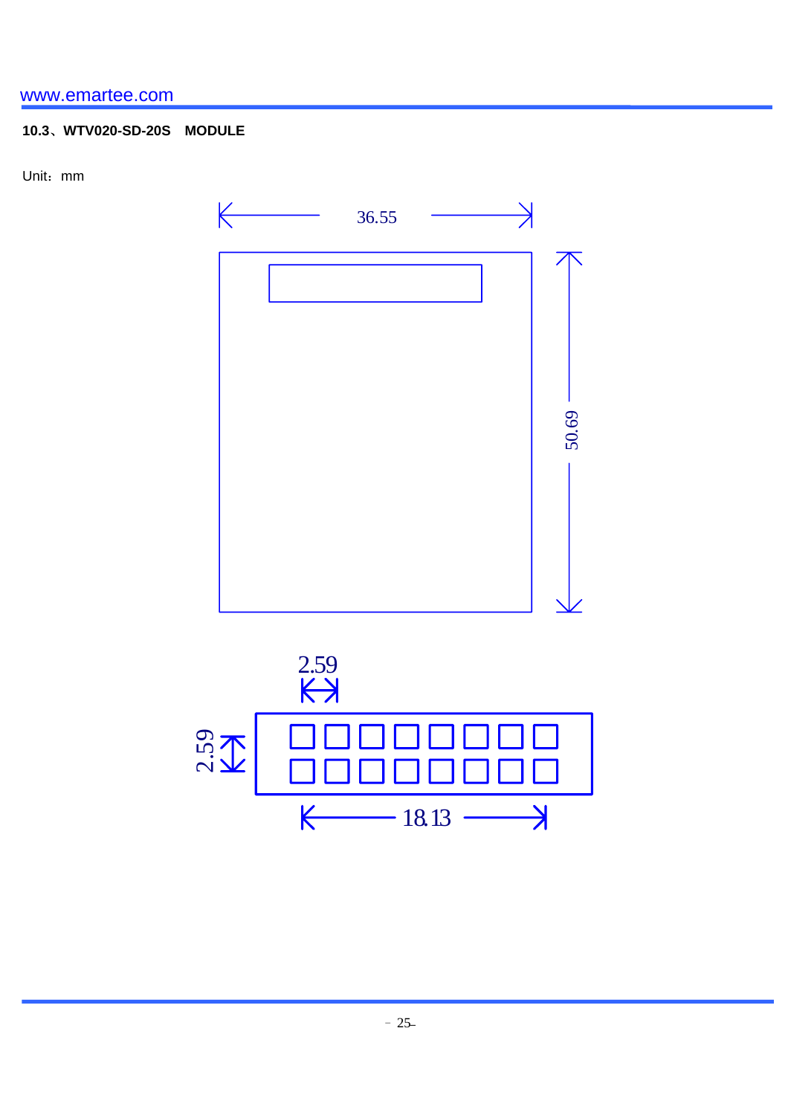# **10.3**、**WTV020-SD-20S MODULE**

Unit:mm